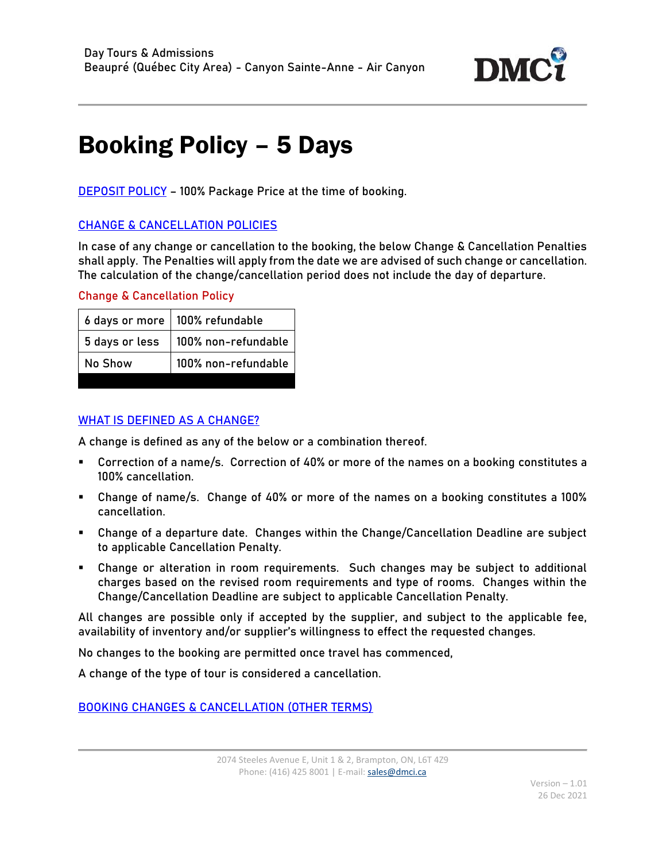

## Booking Policy – 5 Days

DEPOSIT POLICY – 100% Package Price at the time of booking.

## CHANGE & CANCELLATION POLICIES

In case of any change or cancellation to the booking, the below Change & Cancellation Penalties shall apply. The Penalties will apply from the date we are advised of such change or cancellation. The calculation of the change/cancellation period does not include the day of departure.

## Change & Cancellation Policy

|                | 6 days or more   100% refundable |
|----------------|----------------------------------|
| 5 days or less | 100% non-refundable              |
| No Show        | 100% non-refundable              |

## WHAT IS DEFINED AS A CHANGE?

A change is defined as any of the below or a combination thereof.

- Correction of a name/s. Correction of 40% or more of the names on a booking constitutes a 100% cancellation.
- Change of name/s. Change of 40% or more of the names on a booking constitutes a 100% cancellation.
- Change of a departure date. Changes within the Change/Cancellation Deadline are subject to applicable Cancellation Penalty.
- Change or alteration in room requirements. Such changes may be subject to additional charges based on the revised room requirements and type of rooms. Changes within the Change/Cancellation Deadline are subject to applicable Cancellation Penalty.

All changes are possible only if accepted by the supplier, and subject to the applicable fee, availability of inventory and/or supplier's willingness to effect the requested changes.

No changes to the booking are permitted once travel has commenced,

A change of the type of tour is considered a cancellation.

BOOKING CHANGES & CANCELLATION (OTHER TERMS)